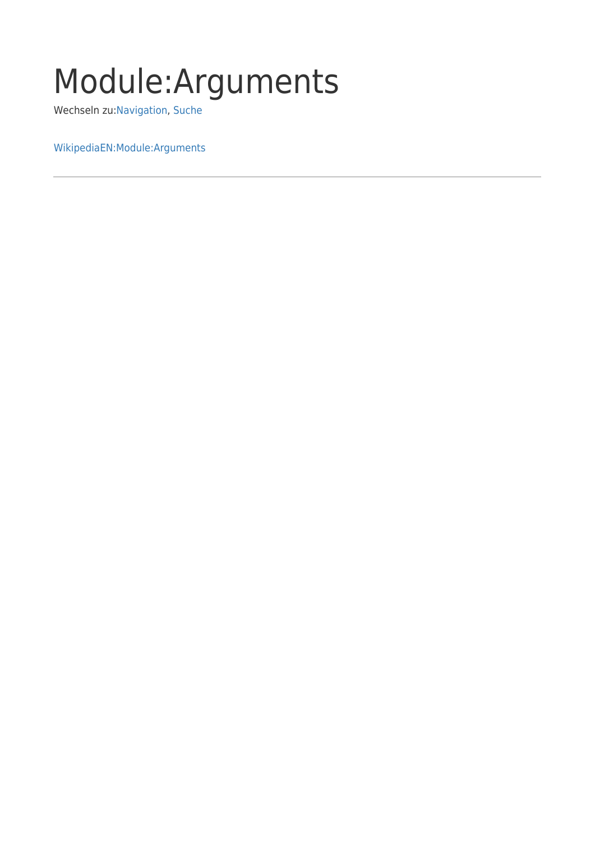## Module:Arguments

Wechseln zu:[Navigation,](#page--1-0) [Suche](#page--1-0)

[WikipediaEN:Module:Arguments](http://en.wikipedia.org/wiki/Module:Arguments)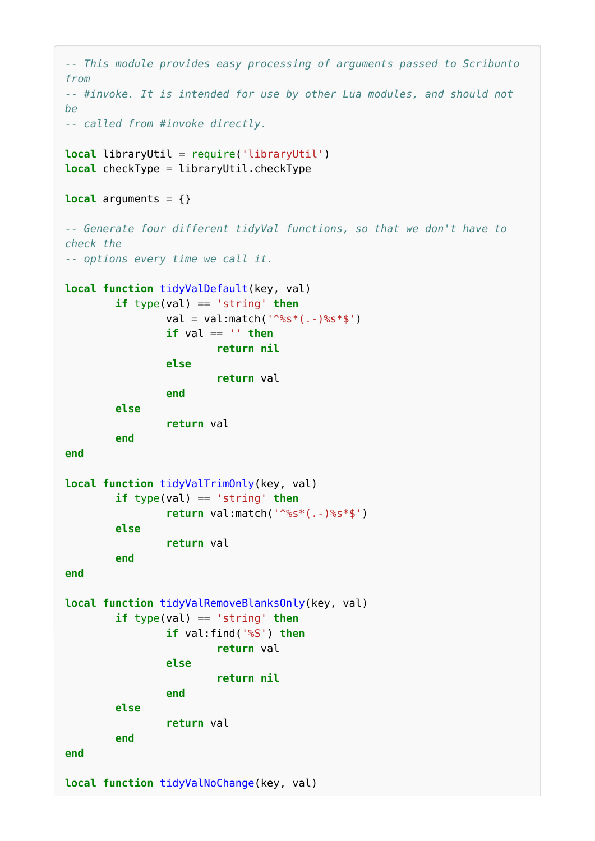```
-- This module provides easy processing of arguments passed to Scribunto
from
-- #invoke. It is intended for use by other Lua modules, and should not
be
-- called from #invoke directly.
local libraryUtil = require('libraryUtil')
local checkType = libraryUtil.checkType
local arguments = \{\}-- Generate four different tidyVal functions, so that we don't have to
check the
-- options every time we call it.
local function tidyValDefault(key, val)
         if type(val) == 'string' then
                val = val:match('^s * ( . . ) ss*$')
                if val == ' then
                          return nil
                 else
                          return val
                 end
         else
                  return val
         end
end
local function tidyValTrimOnly(key, val)
         if type(val) == 'string' then
                  return val:match('^%s*(.-)%s*$')
         else
                  return val
         end
end
local function tidyValRemoveBlanksOnly(key, val)
         if type(val) == 'string' then
                  if val:find('%S') then
                          return val
                 else
                          return nil
                 end
         else
                  return val
         end
end
local function tidyValNoChange(key, val)
```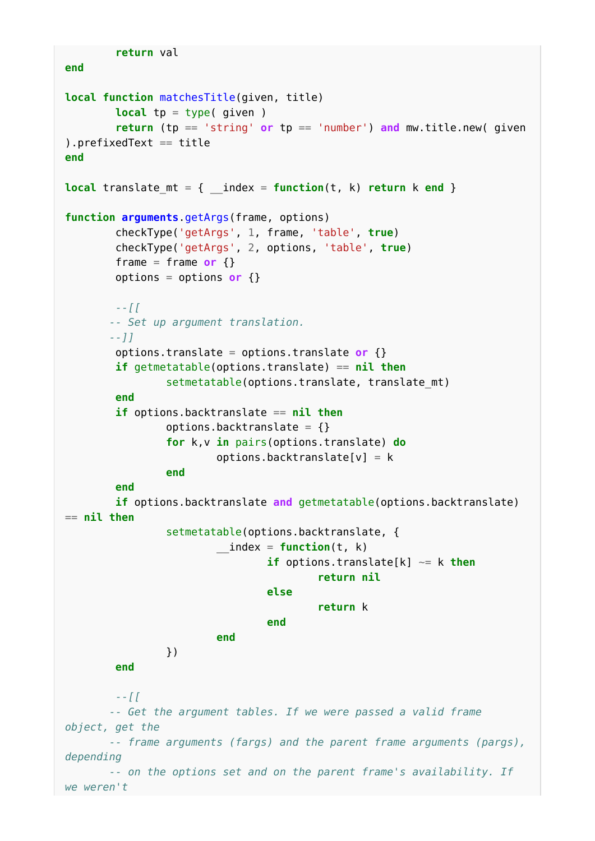```
 return val
end
local function matchesTitle(given, title)
            local tp = type( given )
            return (tp == 'string' or tp == 'number') and mw.title.new( given
).prefixedText == title
end
local translate mt = \{ index = function(t, k) return k end }
function arguments.getArgs(frame, options)
            checkType('getArgs', 1, frame, 'table', true)
            checkType('getArgs', 2, options, 'table', true)
           frame = frame or \{ \} options = options or {}
            --[[
           -- Set up argument translation.
           --]]
            options.translate = options.translate or {}
            if getmetatable(options.translate) == nil then
                       setmetatable(options.translate, translate_mt)
            end
            if options.backtranslate == nil then
                       options.backtranslate = {}
                       for k,v in pairs(options.translate) do
                                 options.backtranslate[v] = k end
            end
            if options.backtranslate and getmetatable(options.backtranslate)
== nil then
                       setmetatable(options.backtranslate, {
                                 \_index = function(t, k) if options.translate[k] ~= k then
                                                         return nil
else and the contract of the contract of the contract of the contract of the contract of the contract of the con
                                                         return k
end and the contract of the contract of the contract of the contract of the contract of the contract of the contract of the contract of the contract of the contract of the contract of the contract of the contract of the 
end and the contract of the contract of the contract of the contract of the contract of the contract of the contract of the contract of the contract of the contract of the contract of the contract of the contract of the 
                       })
            end
            --[[
           -- Get the argument tables. If we were passed a valid frame
object, get the
           -- frame arguments (fargs) and the parent frame arguments (pargs),
depending
           -- on the options set and on the parent frame's availability. If
we weren't
```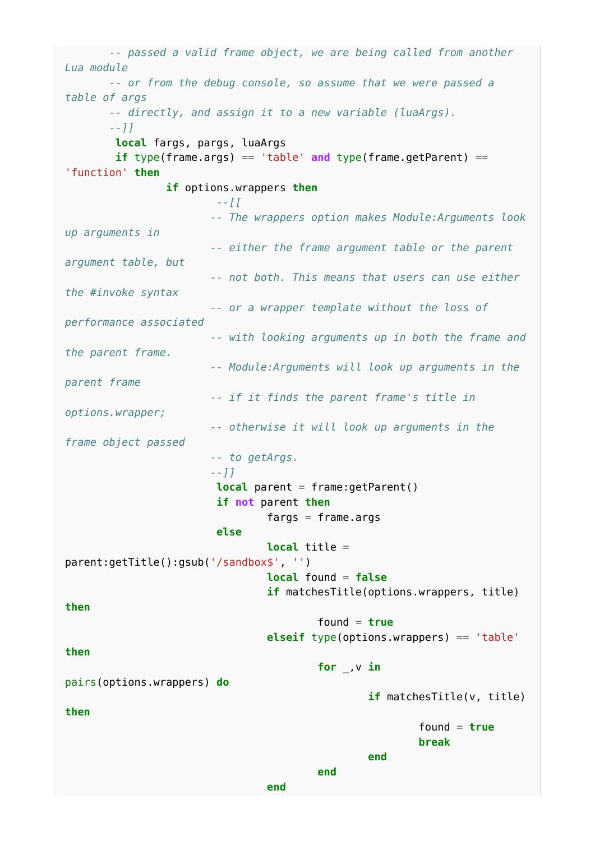```
 -- passed a valid frame object, we are being called from another
Lua module
           -- or from the debug console, so assume that we were passed a
table of args
            -- directly, and assign it to a new variable (luaArgs).
            --]]
             local fargs, pargs, luaArgs
             if type(frame.args) == 'table' and type(frame.getParent) ==
'function' then
                         if options.wrappers then
                                      --[[
                                    -- The wrappers option makes Module:Arguments look
up arguments in
                                    -- either the frame argument table or the parent
argument table, but
                                    -- not both. This means that users can use either
the #invoke syntax
                                    -- or a wrapper template without the loss of
performance associated
                                    -- with looking arguments up in both the frame and
the parent frame.
                                    -- Module:Arguments will look up arguments in the
parent frame
                                    -- if it finds the parent frame's title in
options.wrapper;
                                    -- otherwise it will look up arguments in the
frame object passed
                                    -- to getArgs.
                                    --]]
                                     local parent = frame:getParent()
                                     if not parent then
                                                 fargs = frame.argv else
                                                  local title =
parent:getTitle():gsub('/sandbox$', '')
                                                 local found = false
                                                  if matchesTitle(options.wrappers, title)
then
                                                              found = true
                                                  elseif type(options.wrappers) == 'table'
then
                                                              for _,v in
pairs(options.wrappers) do
                                                                          if matchesTitle(v, title)
then
                                                                                     found = truebreak and the control of the control of the control of the control of the control of the control of the control of the control of the control of the control of the control of the control of the control of the control of 
end and the contract of the contract of the contract of the contract of the contract of the contract of the contract of the contract of the contract of the contract of the contract of the contract of the contract of the 
end and the contract of the contract of the contract of the contract of the contract of the contract of the contract of the contract of the contract of the contract of the contract of the contract of the contract of the 
end and the contract of the contract of the contract of the contract of the contract of the contract of the contract of the contract of the contract of the contract of the contract of the contract of the contract of the
```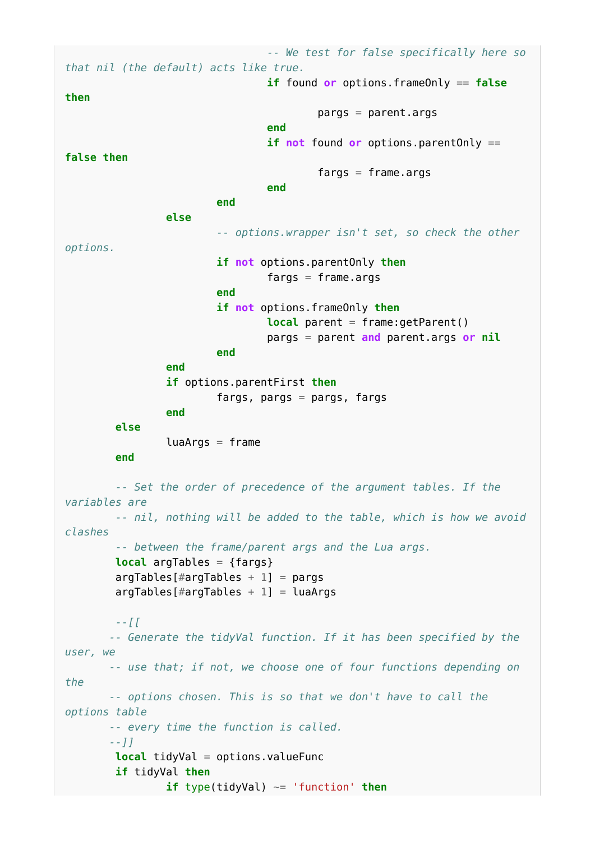*-- We test for false specifically here so that nil (the default) acts like true.* **if** found **or** options.frameOnly == **false then** pargs = parent.args **end** and the contract of the contract of the contract of the contract of the contract of the contract of the contract of the contract of the contract of the contract of the contract of the contract of the contract of the **if not** found **or** options.parentOnly == **false then**  $fares = frame.$ **end** and the contract of the contract of the contract of the contract of the contract of the contract of the contract of the contract of the contract of the contract of the contract of the contract of the contract of the **end** and the contract of the contract of the contract of the contract of the contract of the contract of the contract of the contract of the contract of the contract of the contract of the contract of the contract of the **else** *-- options.wrapper isn't set, so check the other options.* **if not** options.parentOnly **then**  $fargs = frame.argv$ **end** and the contract of the contract of the contract of the contract of the contract of the contract of the contract of the contract of the contract of the contract of the contract of the contract of the contract of the **if not** options.frameOnly **then local** parent = frame:getParent() pargs = parent **and** parent.args **or nil end** and the contract of the contract of the contract of the contract of the contract of the contract of the contract of the contract of the contract of the contract of the contract of the contract of the contract of the **end if** options.parentFirst **then** fargs, pargs  $=$  pargs, fargs **end else**  $luaArgs = frame$  **end** *-- Set the order of precedence of the argument tables. If the variables are -- nil, nothing will be added to the table, which is how we avoid clashes -- between the frame/parent args and the Lua args.* **local** argTables = {fargs}  $argTables[#argTables + 1] = pargs$  $argTables[#argTables + 1] = luaArgs$  *--[[ -- Generate the tidyVal function. If it has been specified by the user, we -- use that; if not, we choose one of four functions depending on the -- options chosen. This is so that we don't have to call the options table -- every time the function is called. --]]* **local** tidyVal = options.valueFunc **if** tidyVal **then if** type(tidyVal) ~= 'function' **then**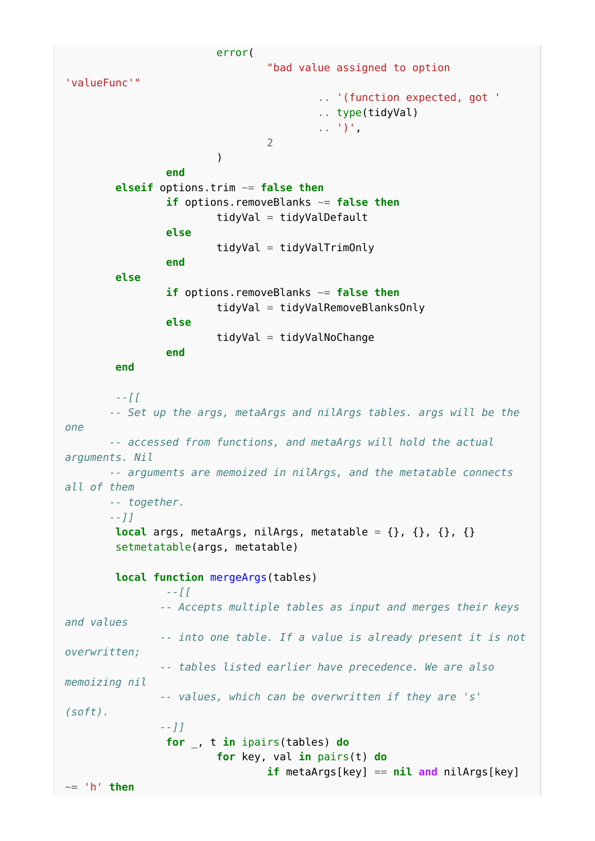error( "bad value assigned to option 'valueFunc'" .. '(function expected, got ' .. type(tidyVal) .. ')', 2 ) and the contract of  $\mathcal{L}$  **end elseif** options.trim ~= **false then if** options.removeBlanks ~= **false then** tidyVal = tidyValDefault **else** tidyVal = tidyValTrimOnly **end else if** options.removeBlanks ~= **false then** tidyVal = tidyValRemoveBlanksOnly **else** tidyVal = tidyValNoChange **end end** *--[[ -- Set up the args, metaArgs and nilArgs tables. args will be the one -- accessed from functions, and metaArgs will hold the actual arguments. Nil -- arguments are memoized in nilArgs, and the metatable connects all of them -- together. --]]* **local** args, metaArgs, nilArgs, metatable =  $\{\}$ ,  $\{\}$ ,  $\{\}$ ,  $\{\}$  setmetatable(args, metatable) **local function** mergeArgs(tables) *--[[ -- Accepts multiple tables as input and merges their keys and values -- into one table. If a value is already present it is not overwritten; -- tables listed earlier have precedence. We are also memoizing nil -- values, which can be overwritten if they are 's' (soft). --]]* **for** \_, t **in** ipairs(tables) **do for** key, val **in** pairs(t) **do if** metaArgs[key] == **nil and** nilArgs[key] ~= 'h' **then**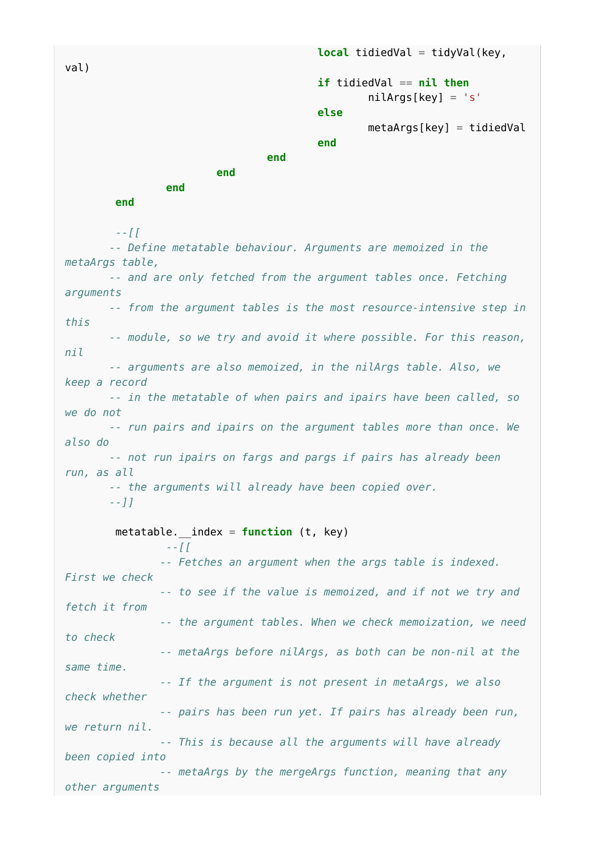```
local tidiedVal = tidyVal(key,
val)
                                                        if tidiedVal == nil then
                                                                   nilAras[kev] = 's' else
                                                                  metaAras[kev] = tidiedValend and the contract of the contract of the contract of the contract of the contract of the contract of the contract of the contract of the contract of the contract of the contract of the contract of the contract of the 
end and the contract of the contract of the contract of the contract of the contract of the contract of the contract of the contract of the contract of the contract of the contract of the contract of the contract of the 
end and the contract of the contract of the contract of the contract of the contract of the contract of the contract of the contract of the contract of the contract of the contract of the contract of the contract of the 
                       end
            end
            --[[
           -- Define metatable behaviour. Arguments are memoized in the
metaArgs table,
          -- and are only fetched from the argument tables once. Fetching
arguments
          -- from the argument tables is the most resource-intensive step in
this
          -- module, so we try and avoid it where possible. For this reason,
nil
          -- arguments are also memoized, in the nilArgs table. Also, we
keep a record
           -- in the metatable of when pairs and ipairs have been called, so
we do not
          -- run pairs and ipairs on the argument tables more than once. We
also do
          -- not run ipairs on fargs and pargs if pairs has already been
run, as all
          -- the arguments will already have been copied over.
          --]]
            metatable.__index = function (t, key)
                       --[[
                      -- Fetches an argument when the args table is indexed.
First we check
                     -- to see if the value is memoized, and if not we try and
fetch it from
                      -- the argument tables. When we check memoization, we need
to check
                     -- metaArgs before nilArgs, as both can be non-nil at the
same time.
                     -- If the argument is not present in metaArgs, we also
check whether
                     -- pairs has been run yet. If pairs has already been run,
we return nil.
                     -- This is because all the arguments will have already
```
*been copied into -- metaArgs by the mergeArgs function, meaning that any other arguments*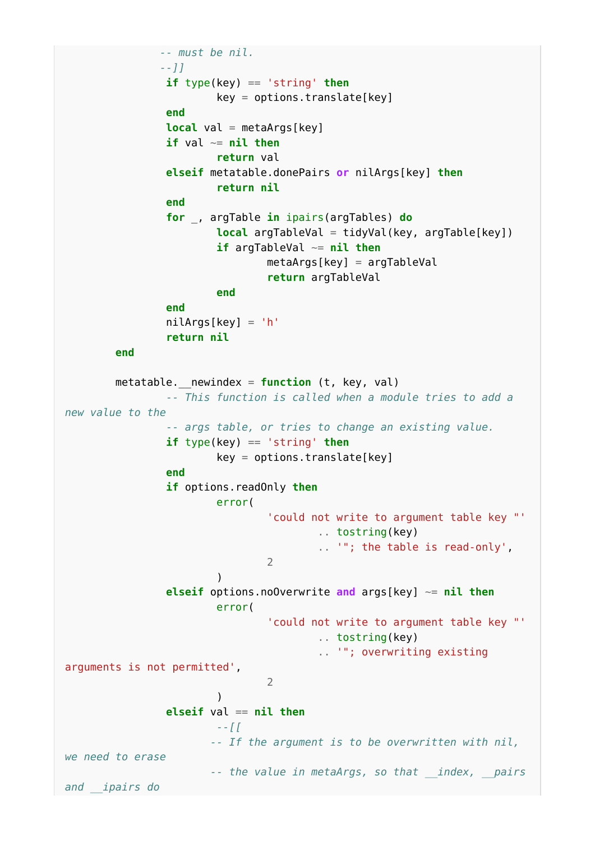```
 -- must be nil.
                   --]]
                   if type(key) == 'string' then
                            key = options.trainslide[key] end
                   local val = metaArgs[key]
                   if val ~= nil then
                             return val
                   elseif metatable.donePairs or nilArgs[key] then
                             return nil
                    end
                    for _, argTable in ipairs(argTables) do
                            local argTableVal = tidyVal(key, argTable[key])
                             if argTableVal ~= nil then
                                      metaArgs[key] = argTableVal
                                      return argTableVal
end and the contract of the contract of the contract of the contract of the contract of the contract of the contract of the contract of the contract of the contract of the contract of the contract of the contract of the 
                    end
                   nilArgs[key] = 'h'
                    return nil
          end
          metatable.__newindex = function (t, key, val)
                    -- This function is called when a module tries to add a
new value to the
                    -- args table, or tries to change an existing value.
                    if type(key) == 'string' then
                            key = options.trainslide[key] end
                    if options.readOnly then
                             error(
                                      'could not write to argument table key "'
                                                .. tostring(key)
                                                .. '"; the table is read-only',
 2
) and the contract of \mathcal{L} elseif options.noOverwrite and args[key] ~= nil then
                             error(
                                       'could not write to argument table key "'
                                                .. tostring(key)
                                                .. '"; overwriting existing
arguments is not permitted',
 2
) and the contract of \mathcal{L} elseif val == nil then
                             --[[
                            -- If the argument is to be overwritten with nil,
we need to erase
                            -- the value in metaArgs, so that __index, __pairs
and __ipairs do
```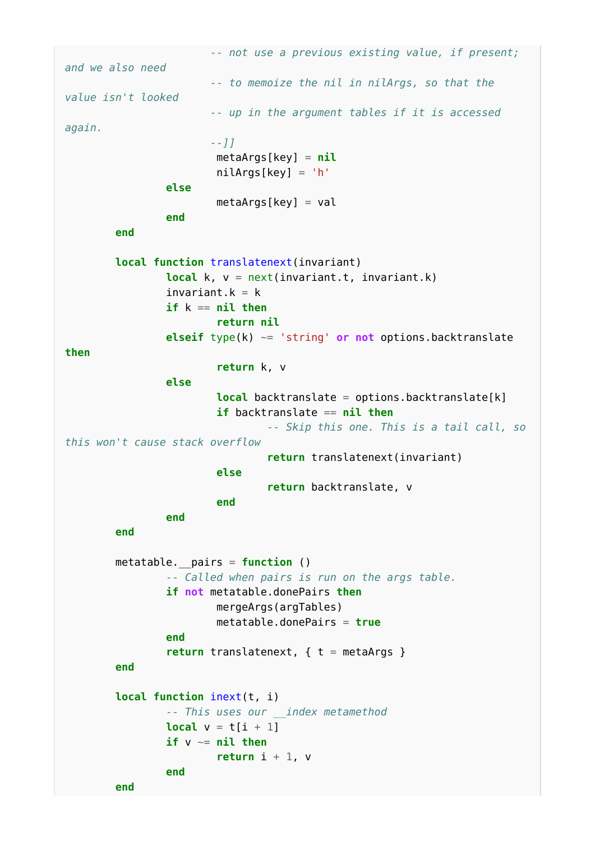*-- not use a previous existing value, if present; and we also need -- to memoize the nil in nilArgs, so that the value isn't looked -- up in the argument tables if it is accessed again. --]]* metaArgs[key] = **nil** nilArgs[key] = 'h' **else**  $metaArgs[key] = val$  **end end local function** translatenext(invariant) **local** k, v = next(invariant.t, invariant.k)  $invariant.k = k$  **if** k == **nil then return nil elseif** type(k) ~= 'string' **or not** options.backtranslate **then return** k, v **else local** backtranslate = options.backtranslate[k] **if** backtranslate == **nil then** *-- Skip this one. This is a tail call, so this won't cause stack overflow* **return** translatenext(invariant) **else return** backtranslate, v **end** and the contract of the contract of the contract of the contract of the contract of the contract of the contract of the contract of the contract of the contract of the contract of the contract of the contract of the **end end** metatable.\_\_pairs = **function** () *-- Called when pairs is run on the args table.* **if not** metatable.donePairs **then** mergeArgs(argTables) metatable.donePairs = **true end return** translatenext, { t = metaArgs } **end local function** inext(t, i) *-- This uses our \_\_index metamethod* **local**  $v = t[i + 1]$  **if** v ~= **nil then return**  $i + 1$ , v **end end**